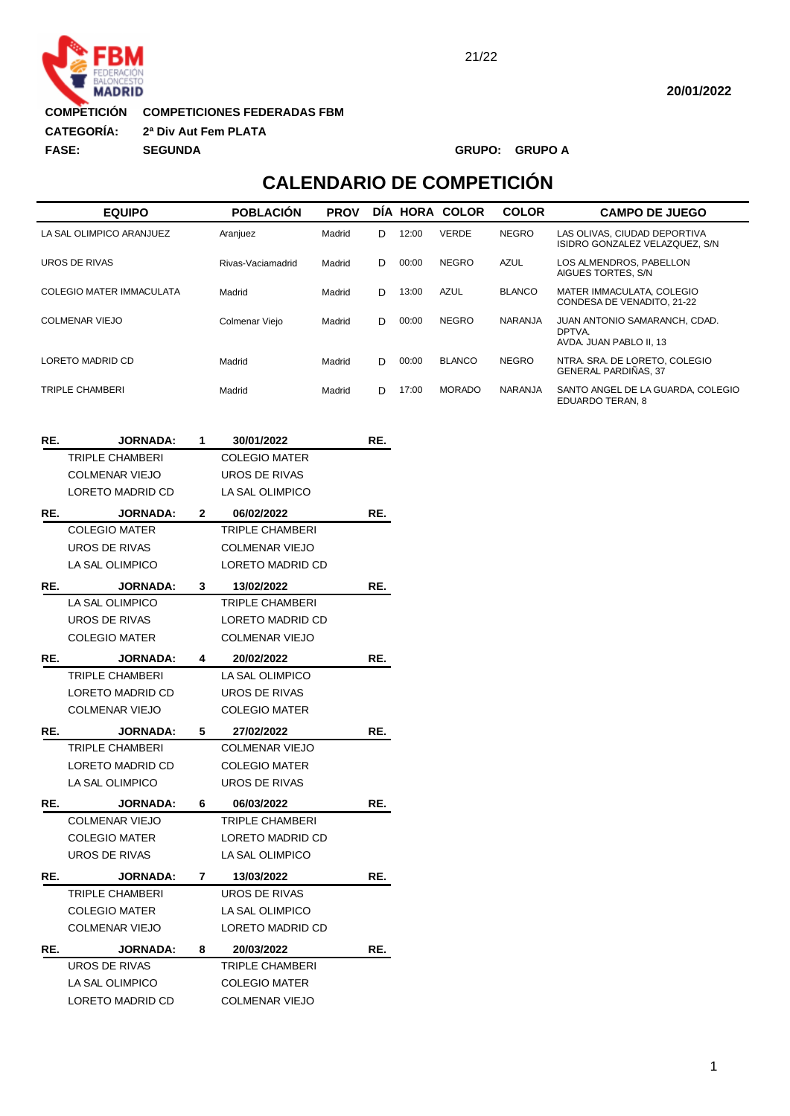

**COMPETICIONES FEDERADAS FBM COMPETICIÓN**

**2ª Div Aut Fem PLATA :CATEGORÍA:**

**FASE: SEGUNDA GRUPO: GRUPO A**

## **CALENDARIO DE COMPETICIÓN**

| <b>EQUIPO</b>            | <b>POBLACIÓN</b>  | <b>PROV</b> |    |       | DIA HORA COLOR | <b>COLOR</b>   | <b>CAMPO DE JUEGO</b>                                              |
|--------------------------|-------------------|-------------|----|-------|----------------|----------------|--------------------------------------------------------------------|
| LA SAL OLIMPICO ARANJUEZ | Aranjuez          | Madrid      | D  | 12:00 | <b>VERDE</b>   | <b>NEGRO</b>   | LAS OLIVAS, CIUDAD DEPORTIVA<br>ISIDRO GONZALEZ VELAZQUEZ. S/N.    |
| UROS DE RIVAS            | Rivas-Vaciamadrid | Madrid      | D. | 00:00 | <b>NEGRO</b>   | <b>AZUL</b>    | LOS ALMENDROS, PABELLON<br>AIGUES TORTES, S/N                      |
| COLEGIO MATER IMMACULATA | Madrid            | Madrid      | D  | 13:00 | <b>AZUL</b>    | <b>BLANCO</b>  | MATER IMMACULATA, COLEGIO<br>CONDESA DE VENADITO, 21-22            |
| COLMENAR VIEJO           | Colmenar Viejo    | Madrid      | D. | 00:00 | <b>NEGRO</b>   | <b>NARANJA</b> | JUAN ANTONIO SAMARANCH, CDAD.<br>DPTVA.<br>AVDA. JUAN PABLO II. 13 |
| LORETO MADRID CD         | Madrid            | Madrid      | D. | 00:00 | <b>BLANCO</b>  | <b>NEGRO</b>   | NTRA. SRA. DE LORETO, COLEGIO<br><b>GENERAL PARDIÑAS, 37</b>       |
| TRIPLE CHAMBERI          | Madrid            | Madrid      | D. | 17:00 | <b>MORADO</b>  | <b>NARANJA</b> | SANTO ANGEL DE LA GUARDA. COLEGIO<br>EDUARDO TERAN, 8              |

| RE. | <b>JORNADA:</b>       | 1            | 30/01/2022            | RE. |
|-----|-----------------------|--------------|-----------------------|-----|
|     | TRIPLE CHAMBERI       |              | <b>COLEGIO MATER</b>  |     |
|     | <b>COLMENAR VIEJO</b> |              | <b>UROS DE RIVAS</b>  |     |
|     | LORETO MADRID CD      |              | LA SAL OLIMPICO       |     |
| RE. | <b>JORNADA:</b>       | $\mathbf{2}$ | 06/02/2022            | RE. |
|     | <b>COLEGIO MATER</b>  |              | TRIPLE CHAMBERI       |     |
|     | UROS DE RIVAS         |              | <b>COLMENAR VIEJO</b> |     |
|     | LA SAL OLIMPICO       |              | LORETO MADRID CD      |     |
| RE. | <b>JORNADA:</b>       | 3            | 13/02/2022            | RE. |
|     | LA SAL OLIMPICO       |              | TRIPLE CHAMBERI       |     |
|     | UROS DE RIVAS         |              | LORETO MADRID CD      |     |
|     | <b>COLEGIO MATER</b>  |              | <b>COLMENAR VIEJO</b> |     |
| RE. | <b>JORNADA:</b>       | 4            | 20/02/2022            | RE. |
|     | TRIPLE CHAMBERI       |              | LA SAL OLIMPICO       |     |
|     | LORETO MADRID CD      |              | UROS DE RIVAS         |     |
|     | <b>COLMENAR VIEJO</b> |              | <b>COLEGIO MATER</b>  |     |
| RE. | <b>JORNADA:</b>       | 5            | 27/02/2022            | RE. |
|     | TRIPLE CHAMBERI       |              | <b>COLMENAR VIEJO</b> |     |
|     | LORETO MADRID CD      |              | <b>COLEGIO MATER</b>  |     |
|     | LA SAL OLIMPICO       |              |                       |     |
|     |                       |              | UROS DE RIVAS         |     |
| RE. | <b>JORNADA:</b>       | 6            | 06/03/2022            | RE. |
|     | <b>COLMENAR VIEJO</b> |              | TRIPLE CHAMBERI       |     |
|     | <b>COLEGIO MATER</b>  |              | LORETO MADRID CD      |     |
|     | UROS DE RIVAS         |              | LA SAL OLIMPICO       |     |
| RE. | <b>JORNADA:</b>       | 7            | 13/03/2022            | RE. |
|     | TRIPLE CHAMBERI       |              | UROS DE RIVAS         |     |
|     | <b>COLEGIO MATER</b>  |              | LA SAL OLIMPICO       |     |
|     | COLMENAR VIEJO        |              | LORETO MADRID CD      |     |
| RE. | <b>JORNADA:</b>       | 8            | 20/03/2022            | RE. |
|     | UROS DE RIVAS         |              | TRIPLE CHAMBERI       |     |
|     | LA SAL OLIMPICO       |              | <b>COLEGIO MATER</b>  |     |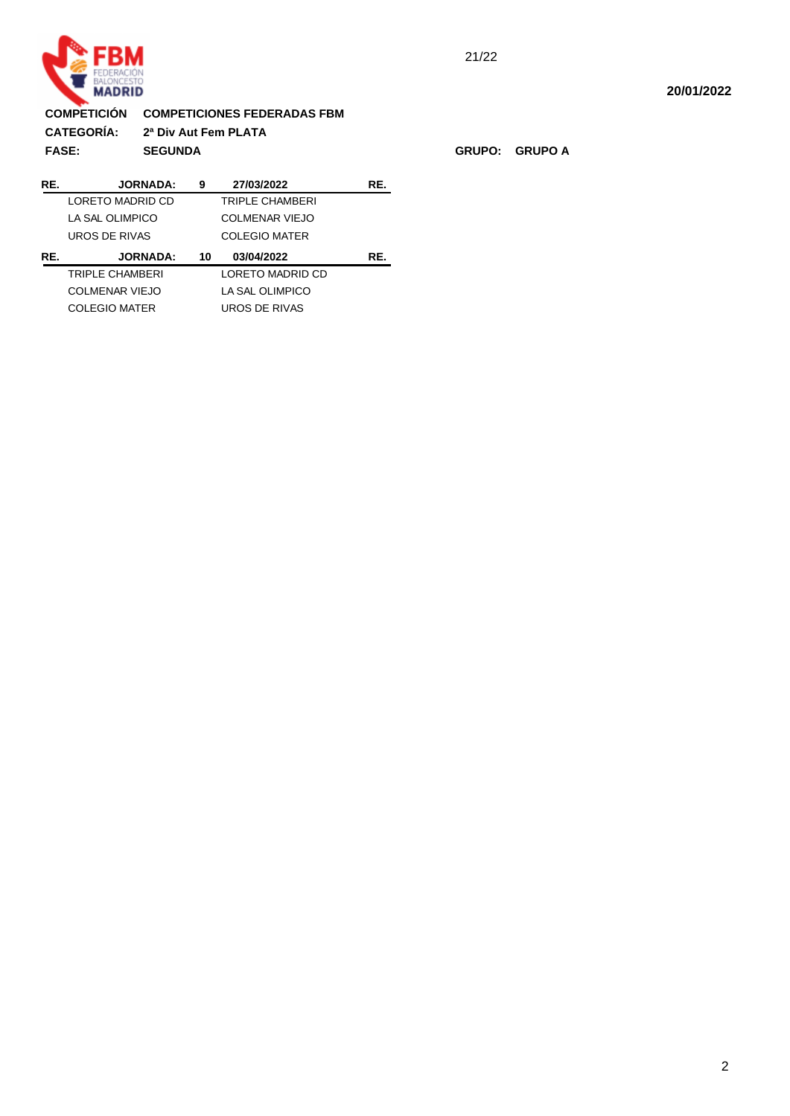

## **15:44:37 COMPETICIÓN COMPETICIONES FEDERADAS FBM :CATEGORÍA: 2ª Div Aut Fem PLATA FASE: SEGUNDA GRUPO: GRUPO A 27/03/2022 RE. JORNADA: 9 RE.**

| KE. | JUKNADA:             | У  | 27/03/2022           | KE. |
|-----|----------------------|----|----------------------|-----|
|     | LORETO MADRID CD     |    | TRIPLE CHAMBERI      |     |
|     | LA SAL OLIMPICO      |    | COLMENAR VIEJO       |     |
|     | UROS DE RIVAS        |    | <b>COLEGIO MATER</b> |     |
|     |                      |    |                      |     |
| RE. | <b>JORNADA:</b>      | 10 | 03/04/2022           | RE. |
|     | TRIPLE CHAMBERI      |    | LORETO MADRID CD     |     |
|     | COLMENAR VIEJO       |    | LA SAL OLIMPICO      |     |
|     | <b>COLEGIO MATER</b> |    | UROS DE RIVAS        |     |